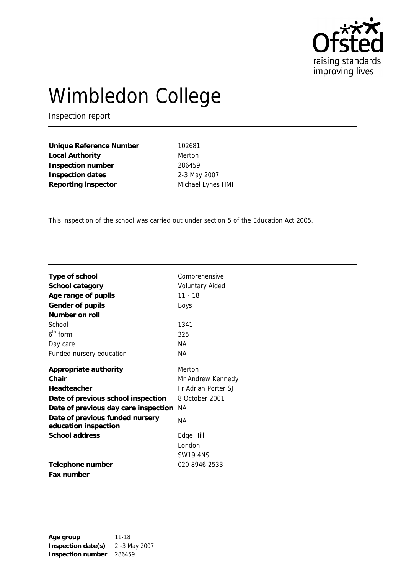

# Wimbledon College

Inspection report

**Unique Reference Number** 102681 Local Authority **Merton Inspection number** 286459 **Inspection dates** 2-3 May 2007 Reporting inspector Michael Lynes HMI

This inspection of the school was carried out under section 5 of the Education Act 2005.

| Type of school                                          | Comprehensive          |
|---------------------------------------------------------|------------------------|
| School category                                         | <b>Voluntary Aided</b> |
| Age range of pupils                                     | $11 - 18$              |
| Gender of pupils                                        | Boys                   |
| Number on roll                                          |                        |
| School                                                  | 1341                   |
| $6th$ form                                              | 325                    |
| Day care                                                | NА                     |
| Funded nursery education                                | NА                     |
| Appropriate authority                                   | Merton                 |
| Chair                                                   | Mr Andrew Kennedy      |
| Headteacher                                             | Fr Adrian Porter SJ    |
| Date of previous school inspection                      | 8 October 2001         |
| Date of previous day care inspection                    | NА                     |
| Date of previous funded nursery<br>education inspection | NА                     |
| School address                                          | Edge Hill              |
|                                                         | London                 |
|                                                         | <b>SW19 4NS</b>        |
| Telephone number                                        | 020 8946 2533          |
| Fax number                                              |                        |

**Age group** 11-18 **Inspection date(s)** 2 -3 May 2007 **Inspection number** 286459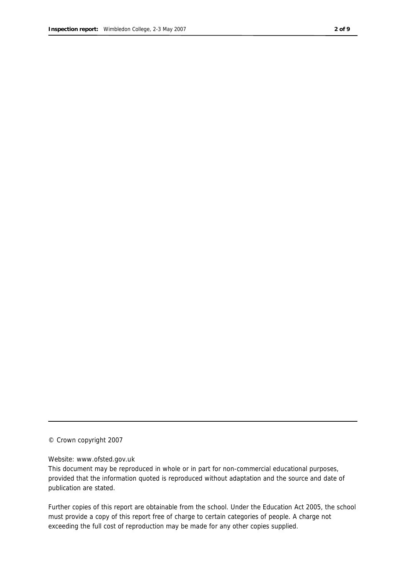© Crown copyright 2007

#### Website: www.ofsted.gov.uk

This document may be reproduced in whole or in part for non-commercial educational purposes, provided that the information quoted is reproduced without adaptation and the source and date of publication are stated.

Further copies of this report are obtainable from the school. Under the Education Act 2005, the school must provide a copy of this report free of charge to certain categories of people. A charge not exceeding the full cost of reproduction may be made for any other copies supplied.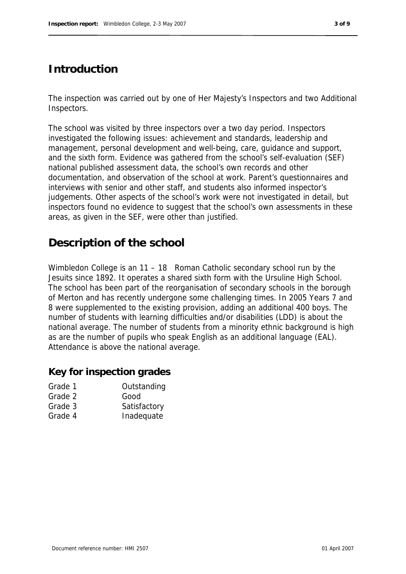## **Introduction**

The inspection was carried out by one of Her Majesty's Inspectors and two Additional Inspectors.

The school was visited by three inspectors over a two day period. Inspectors investigated the following issues: achievement and standards, leadership and management, personal development and well-being, care, guidance and support, and the sixth form. Evidence was gathered from the school's self-evaluation (SEF) national published assessment data, the school's own records and other documentation, and observation of the school at work. Parent's questionnaires and interviews with senior and other staff, and students also informed inspector's judgements. Other aspects of the school's work were not investigated in detail, but inspectors found no evidence to suggest that the school's own assessments in these areas, as given in the SEF, were other than justified.

## **Description of the school**

Wimbledon College is an 11 – 18 Roman Catholic secondary school run by the Jesuits since 1892. It operates a shared sixth form with the Ursuline High School. The school has been part of the reorganisation of secondary schools in the borough of Merton and has recently undergone some challenging times. In 2005 Years 7 and 8 were supplemented to the existing provision, adding an additional 400 boys. The number of students with learning difficulties and/or disabilities (LDD) is about the national average. The number of students from a minority ethnic background is high as are the number of pupils who speak English as an additional language (EAL). Attendance is above the national average.

#### **Key for inspection grades**

| Grade 1 | Outstanding  |
|---------|--------------|
| Grade 2 | Good         |
| Grade 3 | Satisfactory |
| Grade 4 | Inadequate   |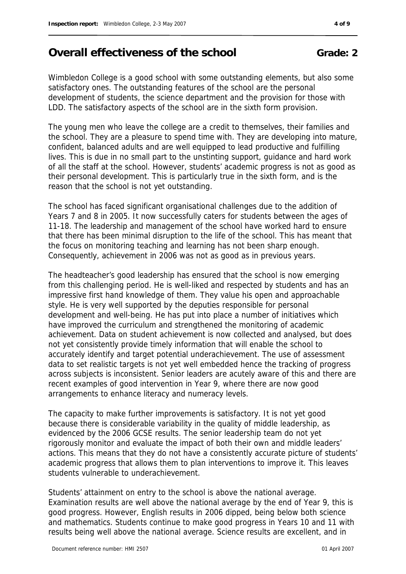## **Overall effectiveness of the school Grade: 2**

Wimbledon College is a good school with some outstanding elements, but also some satisfactory ones. The outstanding features of the school are the personal development of students, the science department and the provision for those with LDD. The satisfactory aspects of the school are in the sixth form provision.

The young men who leave the college are a credit to themselves, their families and the school. They are a pleasure to spend time with. They are developing into mature, confident, balanced adults and are well equipped to lead productive and fulfilling lives. This is due in no small part to the unstinting support, guidance and hard work of all the staff at the school. However, students' academic progress is not as good as their personal development. This is particularly true in the sixth form, and is the reason that the school is not yet outstanding.

The school has faced significant organisational challenges due to the addition of Years 7 and 8 in 2005. It now successfully caters for students between the ages of 11-18. The leadership and management of the school have worked hard to ensure that there has been minimal disruption to the life of the school. This has meant that the focus on monitoring teaching and learning has not been sharp enough. Consequently, achievement in 2006 was not as good as in previous years.

The headteacher's good leadership has ensured that the school is now emerging from this challenging period. He is well-liked and respected by students and has an impressive first hand knowledge of them. They value his open and approachable style. He is very well supported by the deputies responsible for personal development and well-being. He has put into place a number of initiatives which have improved the curriculum and strengthened the monitoring of academic achievement. Data on student achievement is now collected and analysed, but does not yet consistently provide timely information that will enable the school to accurately identify and target potential underachievement. The use of assessment data to set realistic targets is not yet well embedded hence the tracking of progress across subjects is inconsistent. Senior leaders are acutely aware of this and there are recent examples of good intervention in Year 9, where there are now good arrangements to enhance literacy and numeracy levels.

The capacity to make further improvements is satisfactory. It is not yet good because there is considerable variability in the quality of middle leadership, as evidenced by the 2006 GCSE results. The senior leadership team do not yet rigorously monitor and evaluate the impact of both their own and middle leaders' actions. This means that they do not have a consistently accurate picture of students' academic progress that allows them to plan interventions to improve it. This leaves students vulnerable to underachievement.

Students' attainment on entry to the school is above the national average. Examination results are well above the national average by the end of Year 9, this is good progress. However, English results in 2006 dipped, being below both science and mathematics. Students continue to make good progress in Years 10 and 11 with results being well above the national average. Science results are excellent, and in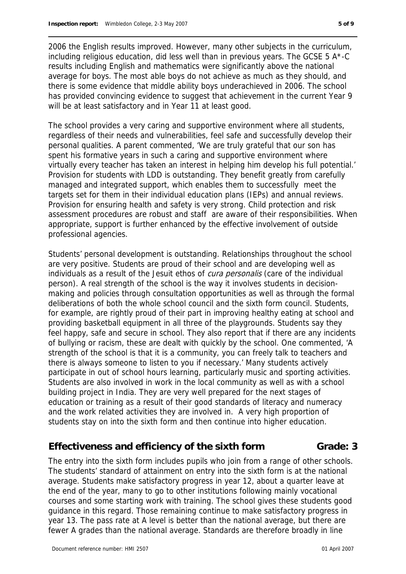2006 the English results improved. However, many other subjects in the curriculum, including religious education, did less well than in previous years. The GCSE 5 A\*-C results including English and mathematics were significantly above the national average for boys. The most able boys do not achieve as much as they should, and there is some evidence that middle ability boys underachieved in 2006. The school has provided convincing evidence to suggest that achievement in the current Year 9 will be at least satisfactory and in Year 11 at least good.

The school provides a very caring and supportive environment where all students, regardless of their needs and vulnerabilities, feel safe and successfully develop their personal qualities. A parent commented, 'We are truly grateful that our son has spent his formative years in such a caring and supportive environment where virtually every teacher has taken an interest in helping him develop his full potential.' Provision for students with LDD is outstanding. They benefit greatly from carefully managed and integrated support, which enables them to successfully meet the targets set for them in their individual education plans (IEPs) and annual reviews. Provision for ensuring health and safety is very strong. Child protection and risk assessment procedures are robust and staff are aware of their responsibilities. When appropriate, support is further enhanced by the effective involvement of outside professional agencies.

Students' personal development is outstanding. Relationships throughout the school are very positive. Students are proud of their school and are developing well as individuals as a result of the Jesuit ethos of *cura personalis* (care of the individual person). A real strength of the school is the way it involves students in decisionmaking and policies through consultation opportunities as well as through the formal deliberations of both the whole school council and the sixth form council. Students, for example, are rightly proud of their part in improving healthy eating at school and providing basketball equipment in all three of the playgrounds. Students say they feel happy, safe and secure in school. They also report that if there are any incidents of bullying or racism, these are dealt with quickly by the school. One commented, 'A strength of the school is that it is a community, you can freely talk to teachers and there is always someone to listen to you if necessary.' Many students actively participate in out of school hours learning, particularly music and sporting activities. Students are also involved in work in the local community as well as with a school building project in India. They are very well prepared for the next stages of education or training as a result of their good standards of literacy and numeracy and the work related activities they are involved in. A very high proportion of students stay on into the sixth form and then continue into higher education.

#### **Effectiveness and efficiency of the sixth form Grade: 3**

The entry into the sixth form includes pupils who join from a range of other schools. The students' standard of attainment on entry into the sixth form is at the national average. Students make satisfactory progress in year 12, about a quarter leave at the end of the year, many to go to other institutions following mainly vocational courses and some starting work with training. The school gives these students good guidance in this regard. Those remaining continue to make satisfactory progress in year 13. The pass rate at A level is better than the national average, but there are fewer A grades than the national average. Standards are therefore broadly in line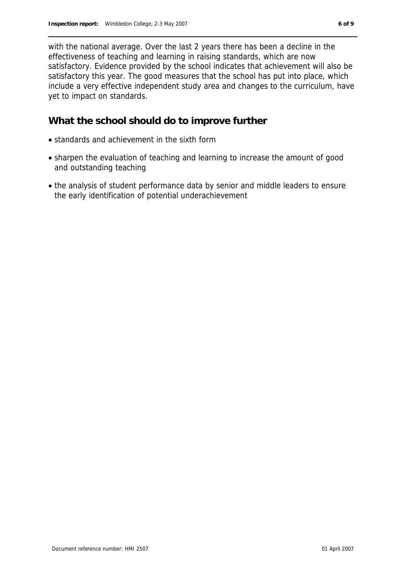with the national average. Over the last 2 years there has been a decline in the effectiveness of teaching and learning in raising standards, which are now satisfactory. Evidence provided by the school indicates that achievement will also be satisfactory this year. The good measures that the school has put into place, which include a very effective independent study area and changes to the curriculum, have yet to impact on standards.

#### **What the school should do to improve further**

- standards and achievement in the sixth form
- sharpen the evaluation of teaching and learning to increase the amount of good and outstanding teaching
- the analysis of student performance data by senior and middle leaders to ensure the early identification of potential underachievement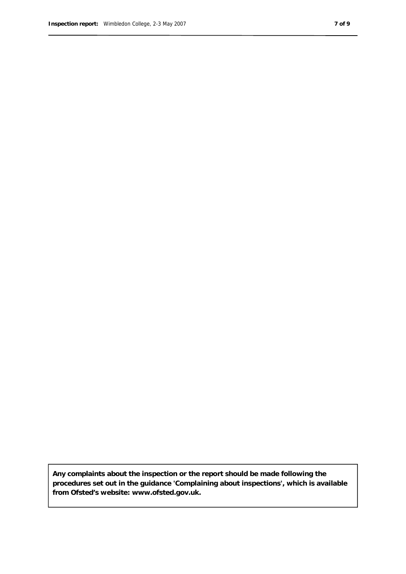**Any complaints about the inspection or the report should be made following the procedures set out in the guidance 'Complaining about inspections', which is available from Ofsted's website: www.ofsted.gov.uk.**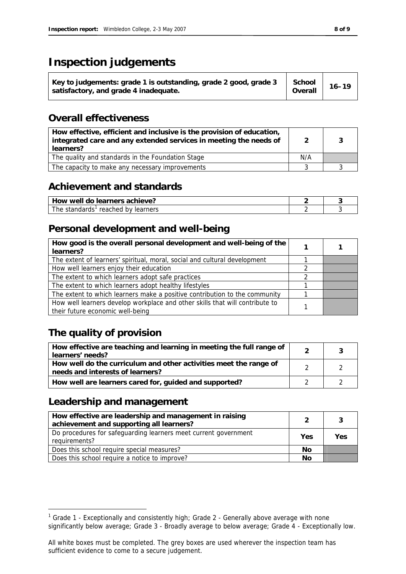## **Inspection judgements**

| Key to judgements: grade 1 is outstanding, grade 2 good, grade 3<br>satisfactory, and grade 4 inadequate. | School<br>Overall | $16 - 19$ |  |
|-----------------------------------------------------------------------------------------------------------|-------------------|-----------|--|
|-----------------------------------------------------------------------------------------------------------|-------------------|-----------|--|

#### **Overall effectiveness**

| How effective, efficient and inclusive is the provision of education,<br>integrated care and any extended services in meeting the needs of<br>learners? |     |  |
|---------------------------------------------------------------------------------------------------------------------------------------------------------|-----|--|
| The quality and standards in the Foundation Stage                                                                                                       | N/A |  |
| The capacity to make any necessary improvements                                                                                                         |     |  |

### **Achievement and standards**

| achieve'<br>ners :<br>.<br>ിറ<br>well<br><b>HOW</b><br>பு          |  |
|--------------------------------------------------------------------|--|
| The<br>مامعمام<br>reached<br>learners<br>hv<br>stanuar<br>∙uJ<br>ັ |  |

### **Personal development and well-being**

| How good is the overall personal development and well-being of the<br>learners? |  |
|---------------------------------------------------------------------------------|--|
| The extent of learners' spiritual, moral, social and cultural development       |  |
| How well learners enjoy their education                                         |  |
| The extent to which learners adopt safe practices                               |  |
| The extent to which learners adopt healthy lifestyles                           |  |
| The extent to which learners make a positive contribution to the community      |  |
| How well learners develop workplace and other skills that will contribute to    |  |
| their future economic well-being                                                |  |

## **The quality of provision**

| How effective are teaching and learning in meeting the full range of<br>learners' needs?              |  |
|-------------------------------------------------------------------------------------------------------|--|
| How well do the curriculum and other activities meet the range of<br>needs and interests of learners? |  |
| How well are learners cared for, guided and supported?                                                |  |

### **Leadership and management**

-

| How effective are leadership and management in raising<br>achievement and supporting all learners? |     | ્ર  |
|----------------------------------------------------------------------------------------------------|-----|-----|
| Do procedures for safeguarding learners meet current government<br>requirements?                   | Yes | Yes |
| Does this school require special measures?                                                         | No  |     |
| Does this school require a notice to improve?                                                      | Νo  |     |

<sup>&</sup>lt;sup>1</sup> Grade 1 - Exceptionally and consistently high; Grade 2 - Generally above average with none significantly below average; Grade 3 - Broadly average to below average; Grade 4 - Exceptionally low.

All white boxes must be completed. The grey boxes are used wherever the inspection team has sufficient evidence to come to a secure judgement.